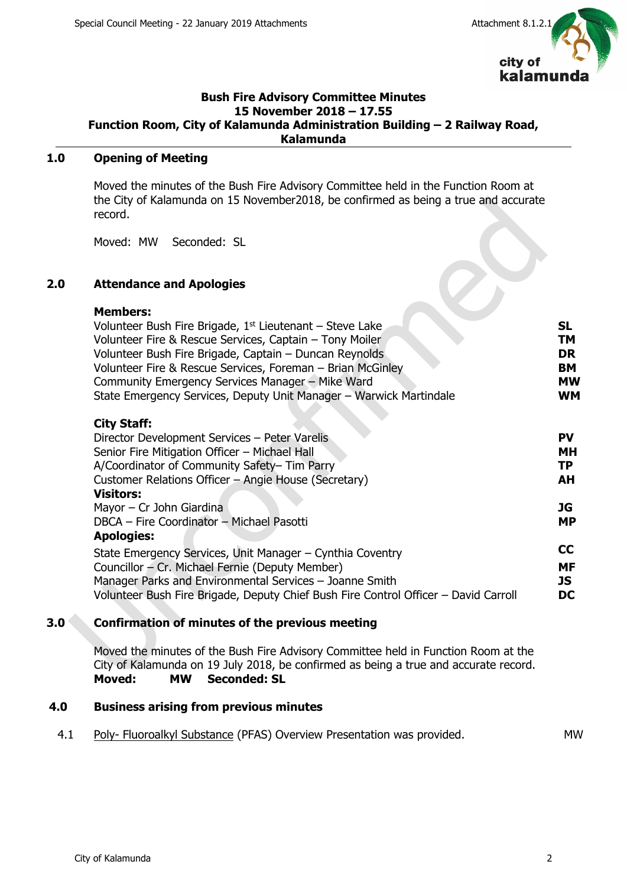

#### **Bush Fire Advisory Committee Minutes 15 November 2018 – 17.55 Function Room, City of Kalamunda Administration Building – 2 Railway Road, Kalamunda**

# **1.0 Opening of Meeting**

Moved the minutes of the Bush Fire Advisory Committee held in the Function Room at the City of Kalamunda on 15 November2018, be confirmed as being a true and accurate record.

Moved: MW Seconded: SL

# **2.0 Attendance and Apologies**

#### **Members:**

| Volunteer Bush Fire Brigade, 1 <sup>st</sup> Lieutenant – Steve Lake | -SL       |
|----------------------------------------------------------------------|-----------|
| Volunteer Fire & Rescue Services, Captain – Tony Moiler              | TM        |
| Volunteer Bush Fire Brigade, Captain - Duncan Reynolds               | <b>DR</b> |
| Volunteer Fire & Rescue Services, Foreman - Brian McGinley           | <b>BM</b> |
| Community Emergency Services Manager - Mike Ward                     | <b>MW</b> |
| State Emergency Services, Deputy Unit Manager - Warwick Martindale   | WМ        |
|                                                                      |           |

#### **City Staff:**

| Director Development Services - Peter Varelis                                       | PV        |  |
|-------------------------------------------------------------------------------------|-----------|--|
| Senior Fire Mitigation Officer - Michael Hall                                       | MН        |  |
| A/Coordinator of Community Safety- Tim Parry                                        | ТP        |  |
| Customer Relations Officer - Angie House (Secretary)                                | AH        |  |
| <b>Visitors:</b>                                                                    |           |  |
| Mayor $-$ Cr John Giardina                                                          | JG        |  |
| DBCA - Fire Coordinator - Michael Pasotti                                           | <b>MP</b> |  |
| <b>Apologies:</b>                                                                   |           |  |
| State Emergency Services, Unit Manager - Cynthia Coventry                           | <b>CC</b> |  |
| Councillor - Cr. Michael Fernie (Deputy Member)                                     | MF        |  |
| Manager Parks and Environmental Services - Joanne Smith                             | JS        |  |
| Volunteer Bush Fire Brigade, Deputy Chief Bush Fire Control Officer – David Carroll | DC        |  |

## **3.0 Confirmation of minutes of the previous meeting**

Moved the minutes of the Bush Fire Advisory Committee held in Function Room at the City of Kalamunda on 19 July 2018, be confirmed as being a true and accurate record. **Moved: MW Seconded: SL**

#### **4.0 Business arising from previous minutes**

4.1 Poly- Fluoroalkyl Substance (PFAS) Overview Presentation was provided. MW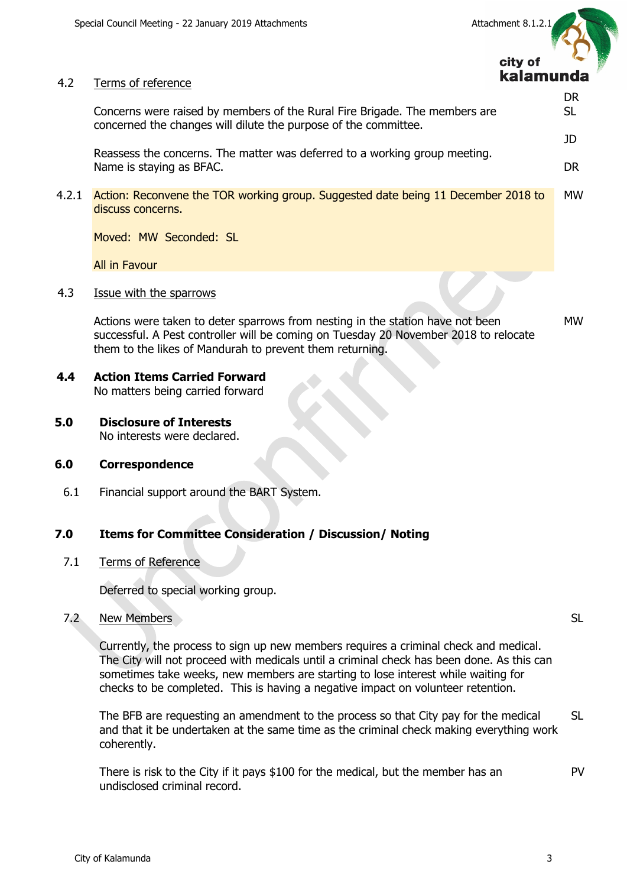



DR SL

JD

DR

#### 4.2 Terms of reference

Concerns were raised by members of the Rural Fire Brigade. The members are concerned the changes will dilute the purpose of the committee.

Reassess the concerns. The matter was deferred to a working group meeting. Name is staying as BFAC.

4.2.1 Action: Reconvene the TOR working group. Suggested date being 11 December 2018 to discuss concerns. MW

Moved: MW Seconded: SL

All in Favour

4.3 Issue with the sparrows

Actions were taken to deter sparrows from nesting in the station have not been successful. A Pest controller will be coming on Tuesday 20 November 2018 to relocate them to the likes of Mandurah to prevent them returning. MW

- **4.4 Action Items Carried Forward** No matters being carried forward
- **5.0 Disclosure of Interests** No interests were declared.

## **6.0 Correspondence**

6.1 Financial support around the BART System.

#### **7.0 Items for Committee Consideration / Discussion/ Noting**

7.1 Terms of Reference

Deferred to special working group.

#### 7.2 New Members

Currently, the process to sign up new members requires a criminal check and medical. The City will not proceed with medicals until a criminal check has been done. As this can sometimes take weeks, new members are starting to lose interest while waiting for checks to be completed. This is having a negative impact on volunteer retention.

The BFB are requesting an amendment to the process so that City pay for the medical and that it be undertaken at the same time as the criminal check making everything work coherently. SL

There is risk to the City if it pays \$100 for the medical, but the member has an undisclosed criminal record.

SL

PV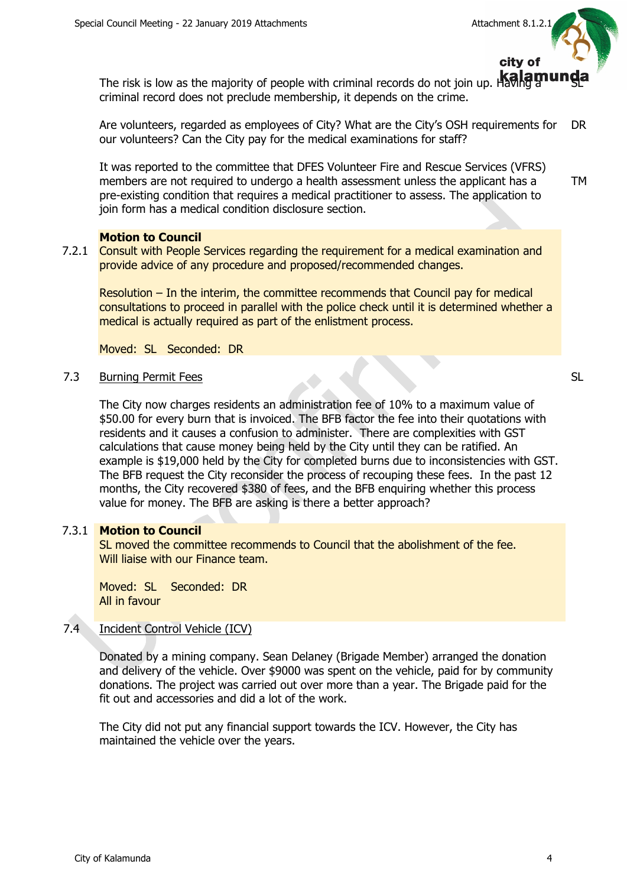

TM

SL

The risk is low as the majority of people with criminal records do not join up. Having a criminal record does not preclude membership, it depends on the crime.

Are volunteers, regarded as employees of City? What are the City's OSH requirements for our volunteers? Can the City pay for the medical examinations for staff? DR

It was reported to the committee that DFES Volunteer Fire and Rescue Services (VFRS) members are not required to undergo a health assessment unless the applicant has a pre-existing condition that requires a medical practitioner to assess. The application to join form has a medical condition disclosure section.

## **Motion to Council**

7.2.1 Consult with People Services regarding the requirement for a medical examination and provide advice of any procedure and proposed/recommended changes.

Resolution – In the interim, the committee recommends that Council pay for medical consultations to proceed in parallel with the police check until it is determined whether a medical is actually required as part of the enlistment process.

Moved: SL Seconded: DR

## 7.3 Burning Permit Fees

The City now charges residents an administration fee of 10% to a maximum value of \$50.00 for every burn that is invoiced. The BFB factor the fee into their quotations with residents and it causes a confusion to administer. There are complexities with GST calculations that cause money being held by the City until they can be ratified. An example is \$19,000 held by the City for completed burns due to inconsistencies with GST. The BFB request the City reconsider the process of recouping these fees. In the past 12 months, the City recovered \$380 of fees, and the BFB enquiring whether this process value for money. The BFB are asking is there a better approach?

# 7.3.1 **Motion to Council**

SL moved the committee recommends to Council that the abolishment of the fee. Will liaise with our Finance team.

Moved: SL Seconded: DR All in favour

# 7.4 Incident Control Vehicle (ICV)

Donated by a mining company. Sean Delaney (Brigade Member) arranged the donation and delivery of the vehicle. Over \$9000 was spent on the vehicle, paid for by community donations. The project was carried out over more than a year. The Brigade paid for the fit out and accessories and did a lot of the work.

The City did not put any financial support towards the ICV. However, the City has maintained the vehicle over the years.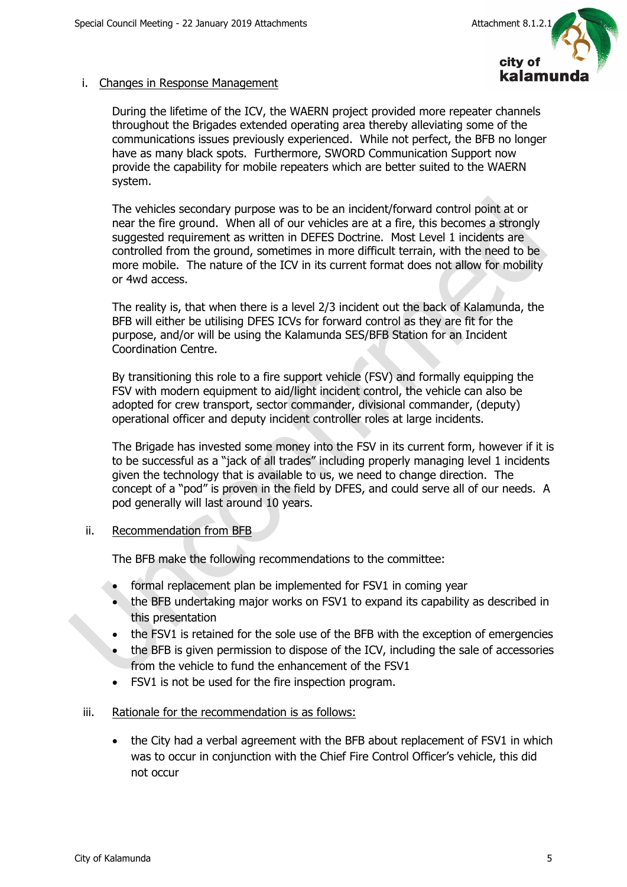

# i. Changes in Response Management

During the lifetime of the ICV, the WAERN project provided more repeater channels throughout the Brigades extended operating area thereby alleviating some of the communications issues previously experienced. While not perfect, the BFB no longer have as many black spots. Furthermore, SWORD Communication Support now provide the capability for mobile repeaters which are better suited to the WAERN system.

The vehicles secondary purpose was to be an incident/forward control point at or near the fire ground. When all of our vehicles are at a fire, this becomes a strongly suggested requirement as written in DEFES Doctrine. Most Level 1 incidents are controlled from the ground, sometimes in more difficult terrain, with the need to be more mobile. The nature of the ICV in its current format does not allow for mobility or 4wd access.

The reality is, that when there is a level 2/3 incident out the back of Kalamunda, the BFB will either be utilising DFES ICVs for forward control as they are fit for the purpose, and/or will be using the Kalamunda SES/BFB Station for an Incident Coordination Centre.

By transitioning this role to a fire support vehicle (FSV) and formally equipping the FSV with modern equipment to aid/light incident control, the vehicle can also be adopted for crew transport, sector commander, divisional commander, (deputy) operational officer and deputy incident controller roles at large incidents.

The Brigade has invested some money into the FSV in its current form, however if it is to be successful as a "jack of all trades" including properly managing level 1 incidents given the technology that is available to us, we need to change direction. The concept of a "pod" is proven in the field by DFES, and could serve all of our needs. A pod generally will last around 10 years.

## ii. Recommendation from BFB

The BFB make the following recommendations to the committee:

- formal replacement plan be implemented for FSV1 in coming year
- the BFB undertaking major works on FSV1 to expand its capability as described in this presentation
- the FSV1 is retained for the sole use of the BFB with the exception of emergencies
- the BFB is given permission to dispose of the ICV, including the sale of accessories from the vehicle to fund the enhancement of the FSV1
- FSV1 is not be used for the fire inspection program.
- iii. Rationale for the recommendation is as follows:
	- the City had a verbal agreement with the BFB about replacement of FSV1 in which was to occur in conjunction with the Chief Fire Control Officer's vehicle, this did not occur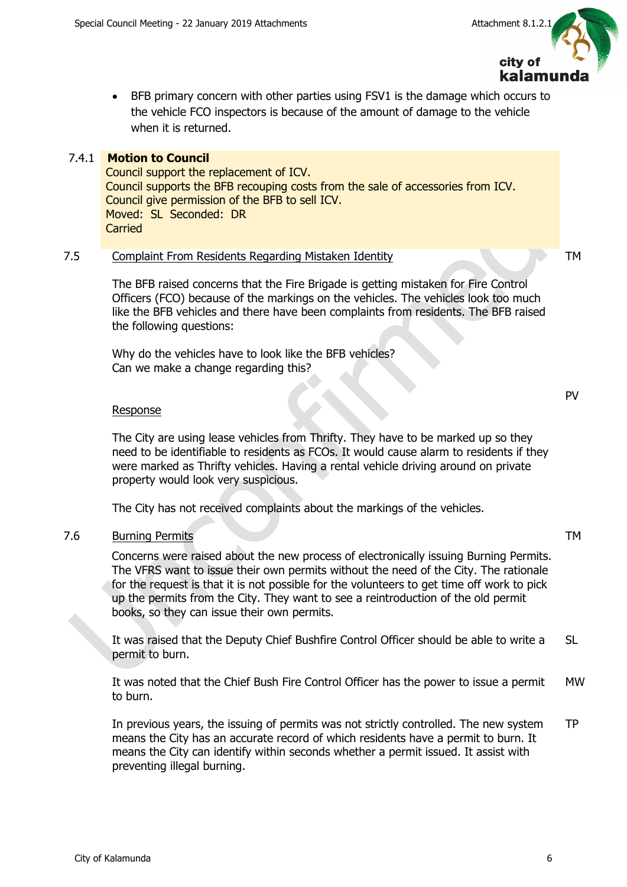

 BFB primary concern with other parties using FSV1 is the damage which occurs to the vehicle FCO inspectors is because of the amount of damage to the vehicle when it is returned.

# 7.4.1 **Motion to Council**

Council support the replacement of ICV. Council supports the BFB recouping costs from the sale of accessories from ICV. Council give permission of the BFB to sell ICV. Moved: SL Seconded: DR **Carried** 

# 7.5 Complaint From Residents Regarding Mistaken Identity TM

The BFB raised concerns that the Fire Brigade is getting mistaken for Fire Control Officers (FCO) because of the markings on the vehicles. The vehicles look too much like the BFB vehicles and there have been complaints from residents. The BFB raised the following questions:

Why do the vehicles have to look like the BFB vehicles? Can we make a change regarding this?

## Response

The City are using lease vehicles from Thrifty. They have to be marked up so they need to be identifiable to residents as FCOs. It would cause alarm to residents if they were marked as Thrifty vehicles. Having a rental vehicle driving around on private property would look very suspicious.

The City has not received complaints about the markings of the vehicles.

# 7.6 Burning Permits TM

Concerns were raised about the new process of electronically issuing Burning Permits. The VFRS want to issue their own permits without the need of the City. The rationale for the request is that it is not possible for the volunteers to get time off work to pick up the permits from the City. They want to see a reintroduction of the old permit books, so they can issue their own permits.

It was raised that the Deputy Chief Bushfire Control Officer should be able to write a permit to burn. SL

It was noted that the Chief Bush Fire Control Officer has the power to issue a permit to burn. MW

In previous years, the issuing of permits was not strictly controlled. The new system means the City has an accurate record of which residents have a permit to burn. It means the City can identify within seconds whether a permit issued. It assist with preventing illegal burning. TP